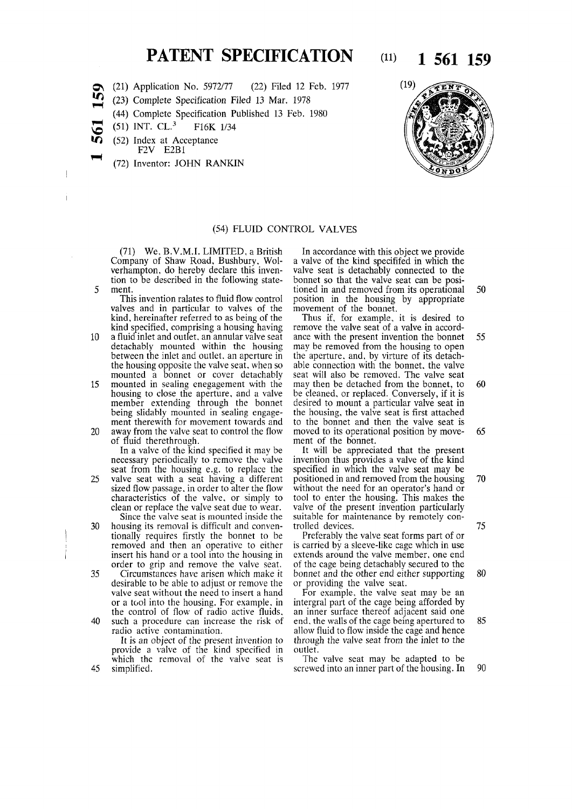# **PATENT SPECIFICATION** (11) **1 561 159**

- **OS (21) Application No. 5972/77 (22) Filed 12 Feb. 1977**
- *ir>*  **(23) Complete Specification Filed 13 Mar. 1978** 
	- **(44) Complete Specification Published 13 Feb. 1980**
- **v o (51) INT. CL.<sup>3</sup> F16K 1/34** 
	- **(52) Index at Acceptance**
- **F2V E2B1** 
	- **(72) Inventor: JOHN RANKIN**



### **(54) FLUID CONTROL VALVES**

**(71) We, B.V.M.I. LIMITED, a British Company of Shaw Road, Bushbury, Wolverhampton, do hereby declare this invention to be described in the following state-5 ment.** 

**This invention ralates to fluid flow control valves and in particular to valves of the kind, hereinafter referred to as being of the kind specified, comprising a housing having** 

- **10 a fluid inlet and outlet, an annular valve seat detachably mounted within the housing between the inlet and outlet, an aperture in the housing opposite the valve seat, when so mounted a bonnet or cover detachably**
- **15 mounted in sealing enegagement with the housing to close the aperture, and a valve member extending through the bonnet being slidably mounted in sealing engagement therewith for movement towards and 20 away from the valve seat to control the flow**

**of fluid therethrough.** 

**In a valve of the kind specified it may be necessary periodically to remove the valve seat from the housing e.g. to replace the 25 valve seat with a seat having a different sized flow passage, in order to alter the flow characteristics of the valve, or simply to clean or replace the valve seat due to wear.** 

**Since the valve seat is mounted inside the 30 housing its removal is difficult and conventionally requires firstly the bonnet to be removed and then an operative to either insert his hand or a tool into the housing in order to grip and remove the valve seat.** 

**35 Circumstances have arisen which make it desirable to be able to adjust or remove the valve seat without the need to insert a hand or a tool into the housing. For example, in the control of flow of radio active fluids, 40 such a procedure can increase the risk of radio active contamination.** 

**It is an object of the present invention to provide a valve of the kind specified in which the removal of the valve seat is 45 simplified.** 

**In accordance with this object we provide a valve of the kind specififed in which the valve seat is detachably connected to the bonnet so that the valve seat can be positioned in and removed from its operational 50 position in the housing by appropriate movement of the bonnet.** 

**Thus if, for example, it is desired to remove the valve seat of a valve in accordance with the present invention the bonnet 55 may be removed from the housing to open the aperture, and, by virture of its detachable connection with the bonnet, the valve seat will also be removed. The valve seat may then be detached from the bonnet, to 60 be cleaned, or replaced. Conversely, if it is desired to mount a particular valve seat in the housing, the valve seat is first attached to the bonnet and then the valve seat is moved to its operational position by move- 65 ment of the bonnet.** 

**It will be appreciated that the present invention thus provides a valve of the kind specified in which the valve seat may be positioned in and removed from the housing 70 without the need for an operator's hand or tool to enter the housing. This makes the valve of the present invention particularly suitable for maintenance by remotely controlled devices. 75** 

**Preferably the valve seat forms part of or is carried by a sleeve-like cage which in use extends around the valve member, one end of the cage being detachably secured to the bonnet and the other end either supporting 80 or providing the valve seat.** 

**For example, the valve seat may be an intergral part of the cage being afforded by an inner surface thereof adjacent said one end, the walls of the cage being apertured to 85 allow fluid to flow inside the cage and hence through the valve seat from the inlet to the outlet.** 

**The valve seat may be adapted to be screwed into an inner part of the housing. In 90**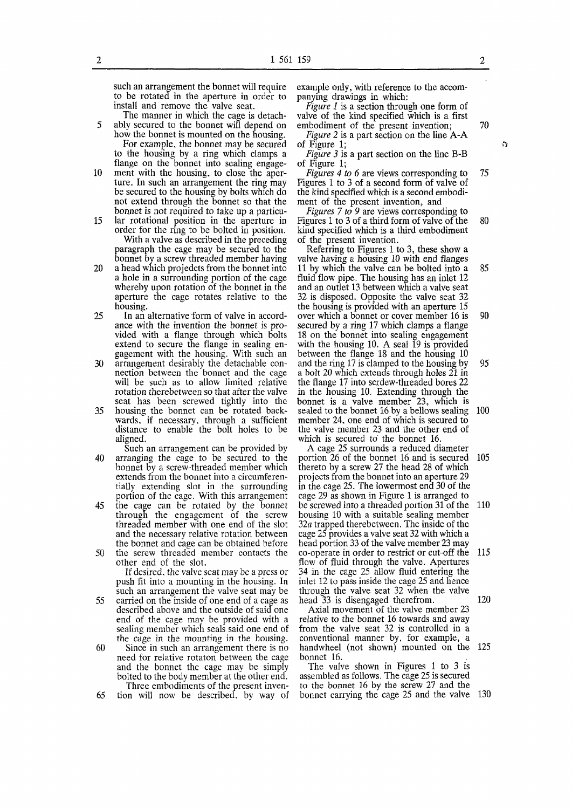**such an arrangement the bonnet will require to be rotated in the aperture in order to**  install and remove the valve seat.

**11** 

**The manner in which the cage is detach-5 ably secured to the bonnet will depend on how the bonnet is mounted on the housing. For example, the bonnet may be secured to the housing by a ring which clamps a flange on the bonnet into sealing engage-**

- **10 ment with the housing, to close the aperture. In such an arrangement the ring may be secured to the housing by bolts which do not extend through the bonnet so that the bonnet is not required to take up a particu-**
- **15 lar rotational position in the aperture in order for the ring to be bolted in position. With a valve as described in the preceding paragraph the cage may be secured to the bonnet by a screw threaded member having**
- **20 a head which projedcts from the bonnet into a hole in a surrounding portion of the cage whereby upon rotation of the bonnet in the aperture the cage rotates relative to the housing.**
- **25 In an alternative form of valve in accordance with the invention the bonnet is provided with a flange through which bolts extend to secure the flange in sealing engagement with the housing. With such an**
- **30 arrangement desirably the detachable connection between the bonnet and the cage will be such as to allow limited relative rotation therebetween so that after the valve seat has been screwed tightly into the**
- **35 housing the bonnet can be rotated backwards, if necessary, through a sufficient distance to enable the bolt holes to be aligned.**
- **Such an arrangement can be provided by 40 arranging the cage to be secured to the bonnet by a screw-threaded member which extends from the bonnet into a circumferentially extending slot in the surrounding portion of the cage. With this arrangement**
- **45 the cage can be rotated by the bonnet through the engagement of the screw threaded member with one end of the slot and the necessary relative rotation between the bonnet and cage can be obtained before 50 the screw threaded member contacts the**
- **other end of the slot.**

**If desired, the valve seat may be a press or push fit into a mounting in the housing. In such an arrangement the valve seat may be** 

**55 carried on the inside of one end of a cage as described above and the outside of said one end of the cage may be provided with a sealing member which seals said one end of the cage in the mounting in the housing.** 

**60 Since in such an arrangement there is no need for relative rotaton between tbe cage and the bonnet the cage may be simply bolted to the body member at the other end. Three embodiments of the present inven-**

**65 tion will now be described, by way of** 

**example only, with reference to the accompanying drawings in which:** 

*Figure 1* **is a section through one form of valve of the kind specified which is a first embodiment of the present invention; 70** 

*Figure 2* **is a part section on the line A-A of Figure 1;**  $\theta$ 

*Figure* **J is a part section on the line B-B of Figure 1;** 

*Figures 4 to 6* **are views corresponding to 75 Figures 1 to 3 of a second form of valve of the kind specified which is a second embodiment of the present invention, and** 

*Figures 7 to 9* **are views corresponding to Figures 1 to 3 of a third form of valve of the 80 kind specified which is a third embodiment of the present invention.** 

**Referring to Figures 1 to 3, these show a valve having a housing 10 with end flanges 11 by which the valve can be bolted into a 85 fluid flow pipe. The housing has an inlet 12 and an outlet 13 between which a valve seat 32 is disposed. Opposite the valve seat 32 the housing is provided with an aperture 15 over which a bonnet or cover member 16 is 90 secured by a ring 17 which clamps a flange 18 on the bonnet into sealing engagement with the housing 10. A seal 19 is provided between the flange 18 and the housing 10 and the ring 17 is clamped to the housing by 95 a bolt 20 which extends through holes 21 in the flange 17 into scrdew-threaded bores 22 in the housing 10. Extending through the bonnet is a valve member 23, which is sealed to the bonnet 16 by a bellows sealing 100 member 24, one end of which is secured to the valve member 23 and the other end of which is secured to the bonnet 16.** 

**A cage 25 surrounds a reduced diameter portion 26 of the bonnet 16 and is secured 105 thereto by a screw 27 the head 28 of which projects from the bonnet into an aperture 29 in the cage 25. The lowermost end 30 of the cage 29 as shown in Figure 1 is arranged to be screwed into a threaded portion 31 of the 110 housing 10 with a suitable sealing member 32a trapped therebetween. The inside of the cage 25 provides a valve seat 32 with which a head portion 33 of the valve member 23 may co-operate in order to restrict or cut-off the 115 flow of fluid through the valve. Apertures 34 in the cage 25 allow fluid entering the inlet 12 to pass inside the cage 25 and hence through the valve seat 32 when the valve head 33 is disengaged therefrom. 120** 

**Axial movement of the valve member 23 relative to the bonnet 16 towards and away from the valve seat 32 is controlled in a conventional manner by, for example, a handwheel (not shown) mounted on the 125 bonnet 16.** 

**The valve shown in Figures 1 to 3 is assembled as follows. The cage 25 is secured to the bonnet 16 by the screw 27 and the bonnet carrying the cage 25 and the valve 130**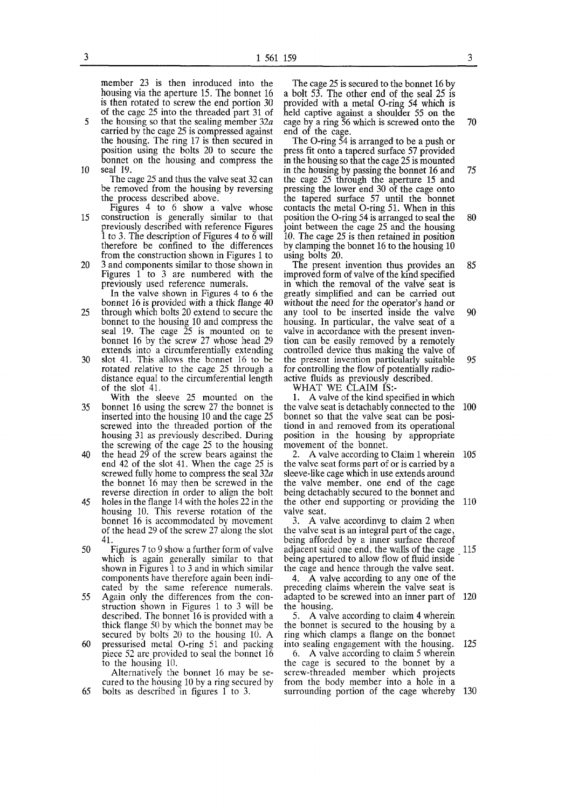**member 23 is then inroduced into the housing via the aperture 15. The bonnet 16 is then rotated to screw the end portion 30 of the cage 25 into the threaded part 31 of** 

- **5 the housing so that the sealing member 32a carried by the cage 25 is compressed against the housing. The ring 17 is then secured in position using the bolts 20 to secure the bonnet on the housing and compress the 10 seal 19.** 
	- **The cage 25 and thus the valve seat 32 can be removed from the housing by reversing the process described above.**
- **Figures 4 to 6 show a valve whose 15 construction is generally similar to that previously described with reference Figures 1 to 3. The description of Figures 4 to 6 will therefore be confined to the differences from the construction shown in Figures 1 to**
- **20 3 and components similar to those shown in Figures 1 to 3 are numbered with the previously used reference numerals. In the valve shown in Figures 4 to 6 the**
- **bonnet 16 is provided with a thick flange 40 25 through which bolts 20 extend to secure the bonnet to the housing 10 and compress the seal 19. The cage 25 is mounted on te bonnet 16 by the screw 27 whose head 29 extends into a circumferentially extending**
- **30 slot 41. This allows the bonnet 16 to be rotated relative to the cage 25 through a distance equal to the circumferential length of the slot 41.**
- **With the sleeve 25 mounted on the 35 bonnet 16 using the screw 27 the bonnet is inserted into the housing 10 and the cage 25 screwed into the threaded portion of the housing 31 as previously described. During the screwing of the cage 25 to the housing**
- **40 the head 29 of the screw bears against the end 42 of the slot 41. When the cage 25 is screwed fully home to compress the seal 32a the bonnet 16 may then be screwed in the reverse direction in order to align the bolt**
- **45 holes in the flange 14 with the holes 22 in the housing 10. This reverse rotation of the bonnet 16 is accommodated by movement of the head 29 of the screw 27 along the slot 41.**
- **50 Figures 7 to 9 show a further form of valve which is again generally similar to that shown in Figures 1 to 3 and in which similar components have therefore again been indicated by the same reference numerals.**
- **55 Again only the differences from the construction shown in Figures 1 to 3 will be described. The bonnet 16 is provided with a thick flange 50 by which the bonnet may be secured by bolts 20 to the housing 10. A**
- **60 pressurised metal O-ring 51 and packing piece 52 are provided to seal the bonnet 16 to the housing 10.**

**Alternatively the bonnet 16 may be secured to the housing 10 by a ring secured by 65 bolts as described in figures 1 to 3.** 

**The cage 25 is secured to the bonnet 16 by a bolt 53. The other end of the seal 25 is provided with a metal O-ring 54 which is held captive against a shoulder 55 on the cage by a ring 56 which is screwed onto the 70 end of the cage.** 

**The O-ring 54 is arranged to be a push or press fit onto a tapered surface 57 provided in the housing so that the cage 25 is mounted in the housing by passing the bonnet 16 and 75 the cage 25 through the aperture 15 and pressing the lower end 30 of the cage onto the tapered surface 57 until the bonnet contacts the metal O-ring 51. When in this position the O-ring 54 is arranged to seal the 80 joint between the cage 25 and the housing 10. The cage 25 is then retained in position by clamping the bonnet 16 to the housing 10 using bolts 20.** 

**The present invention thus provides an 85 improved form of valve of the kind specified in which the removal of the valve seat is greatly simplified and can be carried out without the need for the operator's hand or any tool to be inserted inside the valve 90 housing. In particular, the valve seat of a valve in accordance with the present invention can be easily removed by a remotely controlled device thus making the valve of the present invention particularly suitable 95 for controlling the flow of potentially radioactive fluids as previously described.** 

**WHAT WE CLAIM IS:-**

**1. A valve of the kind specified in which the valve seat is detachably connected to the 100 bonnet so that the valve seat can be positiond in and removed from its operational position in the housing by appropriate movement of the bonnet.** 

**2. A valve according to Claim 1 wherein 105 the valve seat forms part of or is carried by a sleeve-like cage which in use extends around the valve member, one end of the cage being detachably secured to the bonnet and the other end supporting or providing the 110 valve seat.** 

**3. A valve accordinvg to claim 2 when the valve seat is an integral part of the cage, being afforded by a inner surface thereof adjacent said one end, the walls of the cage 115**  being apertured to allow flow of fluid inside **the cage and hence through the valve seat.** 

**4. A valve according to any one of the preceding claims wherein the valve seat is adapted to be screwed into an inner part of 120 the housing.** 

**5. A valve according to claim 4 wherein the bonnet is secured to the housing by a ring which clamps a flange on the bonnet into sealing engagement with the housing. 125** 

**6. A valve according to claim 5 wherein the cage is secured to the bonnet by a screw-threaded member which projects from the body member into a hole in a surrounding portion of the cage whereby 130**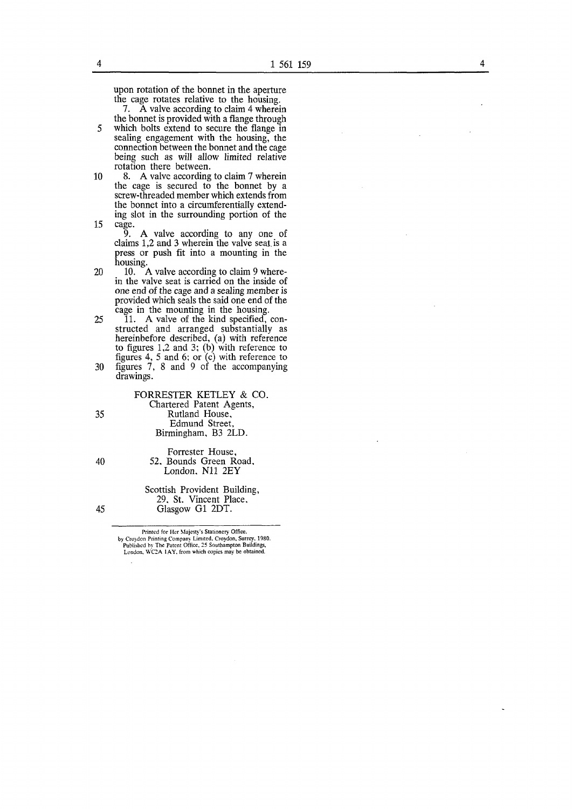**upon rotation of the bonnet in the aperture the cage rotates relative to the housing.** 

**7. A valve according to claim 4 wherein the bonnet is provided with a flange through** 

**5 which bolts extend to secure the flange in sealing engagement with the housing, the connection between the bonnet and the cage being such as will allow limited relative rotation there between.** 

**10 8. A valve according to claim 7 wherein the cage is secured to the bonnet by a screw-threaded member which extends from the bonnet into a circumferentially extending slot in the surrounding portion of the 15 cage.** 

**9. A valve according to any one of claims 1,2 and 3 wherein the valve seat, is a press or push fit into a mounting in the housing.** 

20 10. A valve according to claim 9 where**in the valve seat is carried on the inside of one end of the cage and a sealing member is provided which seals the said one end of the cage in the mounting in the housing.** 

**25 11. A valve of the kind specified, constructed and arranged substantially as hereinbefore described, (a) with reference to figures 1,2 and 3; (b) with reference to figures 4, 5 and 6; or (c) with reference to** 

**30 figures 7, 8 and 9 of the accompanying drawings.** 

**FORRESTER KETLEY & CO. Chartered Patent Agents, 35 Rutland House, Edmund Street, Birmingham, B3 2LD.** 

**Forrester House, 40 52, Bounds Green Road, London, Ni l 2EY** 

**Scottish Provident Building, 29, St. Vincent Place, 45 Glasgow G1 2DT.** 

> Printed for Her Majesty's Stationery Office, by Croydon Printing Company Limited, Croydon, Surrey, 1980. Published by The Patent Office, 25 Southampton Buildings, London, WC2A 1AY. from which copies may be obtained.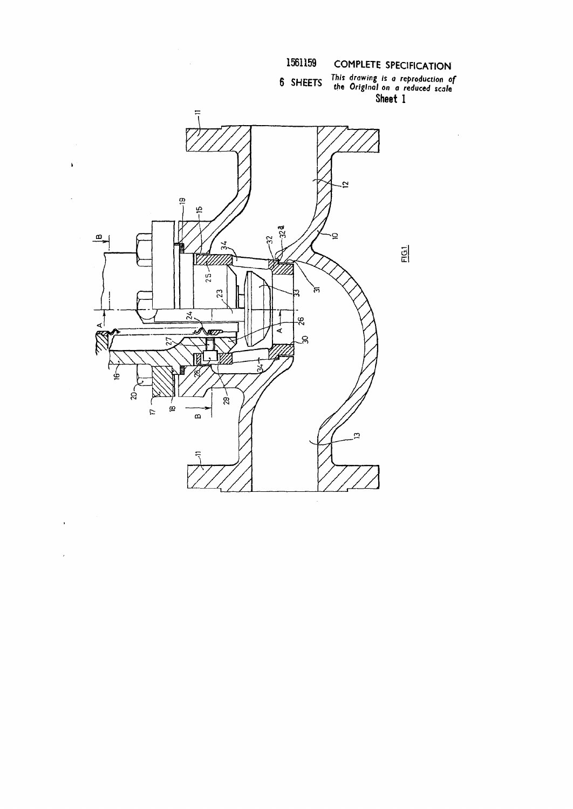

l.



l.

 $\overline{ }$ 

 $\bar{\phantom{a}}$ 

J.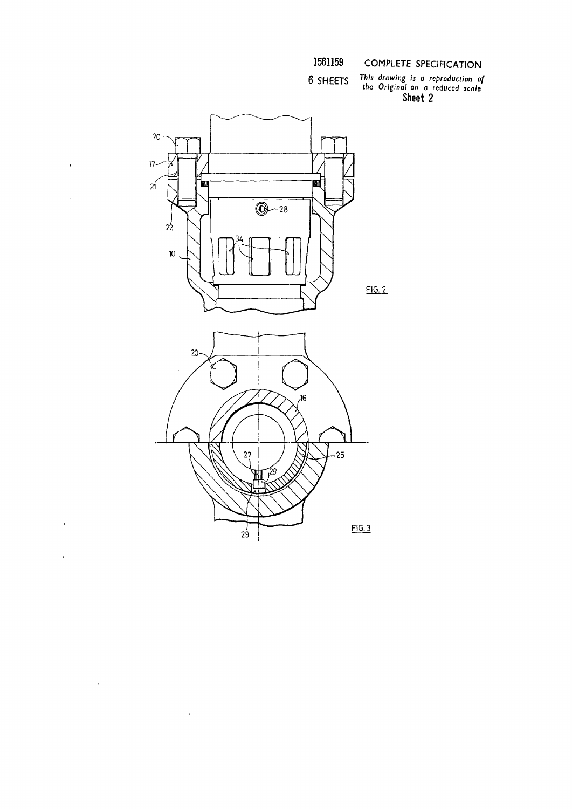6 SHEETS

COMPLETE SPECIFICATION

This drawing is a reproduction of<br>the Original on a reduced scale<br>Sheet 2



 $\ddot{\phantom{1}}$ 

 $\overline{\phantom{a}}$ 

 $\bar{ }$ 

 $\hat{\boldsymbol{\kappa}}$ 

 $\frac{1}{2} \sum_{i=1}^{n} \frac{1}{2} \sum_{j=1}^{n} \frac{1}{2} \sum_{j=1}^{n} \frac{1}{2} \sum_{j=1}^{n} \frac{1}{2} \sum_{j=1}^{n} \frac{1}{2} \sum_{j=1}^{n} \frac{1}{2} \sum_{j=1}^{n} \frac{1}{2} \sum_{j=1}^{n} \frac{1}{2} \sum_{j=1}^{n} \frac{1}{2} \sum_{j=1}^{n} \frac{1}{2} \sum_{j=1}^{n} \frac{1}{2} \sum_{j=1}^{n} \frac{1}{2} \sum_{j=1}^{n$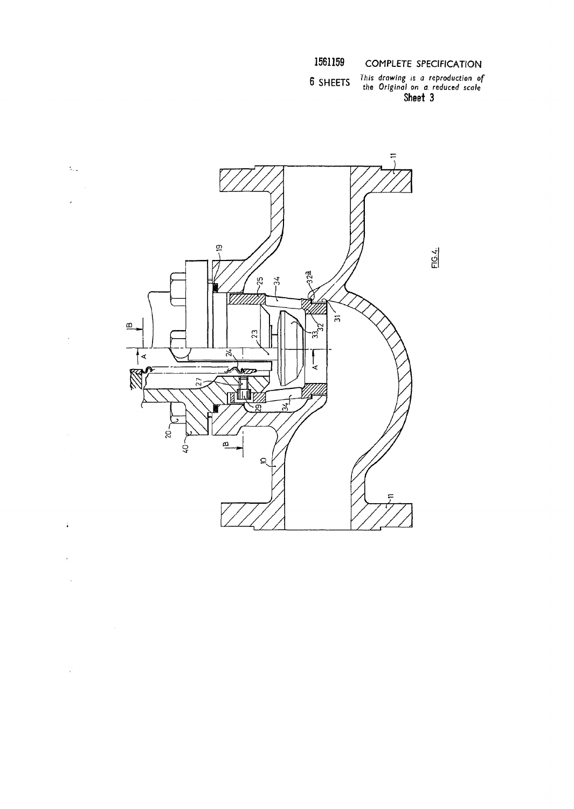6 SHEETS

This drawing is a reproduction of<br>the Original on a reduced scale<br>Sheet 3



 $\tilde{\gamma}_{\rm{ex}}$ 

l,

 $\ddot{\bullet}$ 

 $\hat{\boldsymbol{\beta}}$ 

 $\mathcal{L}^{(1)}_{\text{max}}$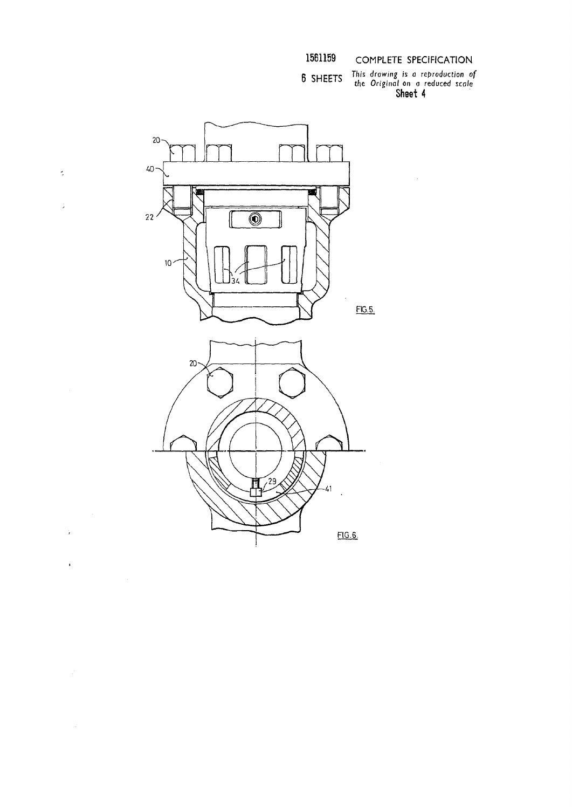This *drawing is a reproduction of the Original* on *a reduced scale*  **Sheet 4** 



 $\tilde{\boldsymbol{\gamma}}$ 

J.

 $\frac{1}{2}$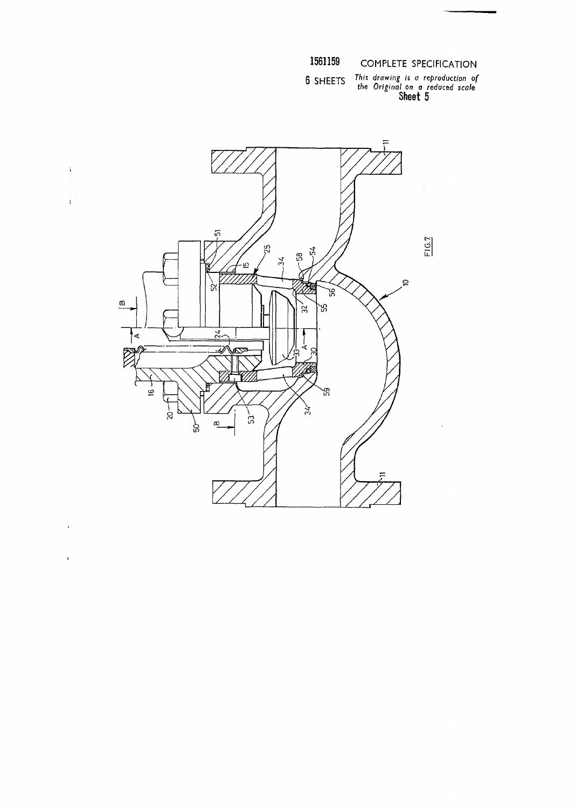**6 SHEETS** *drawing is a reproduction of* 

*the Original on a reduced scale*  **Sheet 5** 



**i** 

 $\mathbf{\hat{z}}$ 

 $\hat{\mathbf{r}}$ 

 $\begin{array}{c} \frac{1}{2} \\ 1 \end{array}$